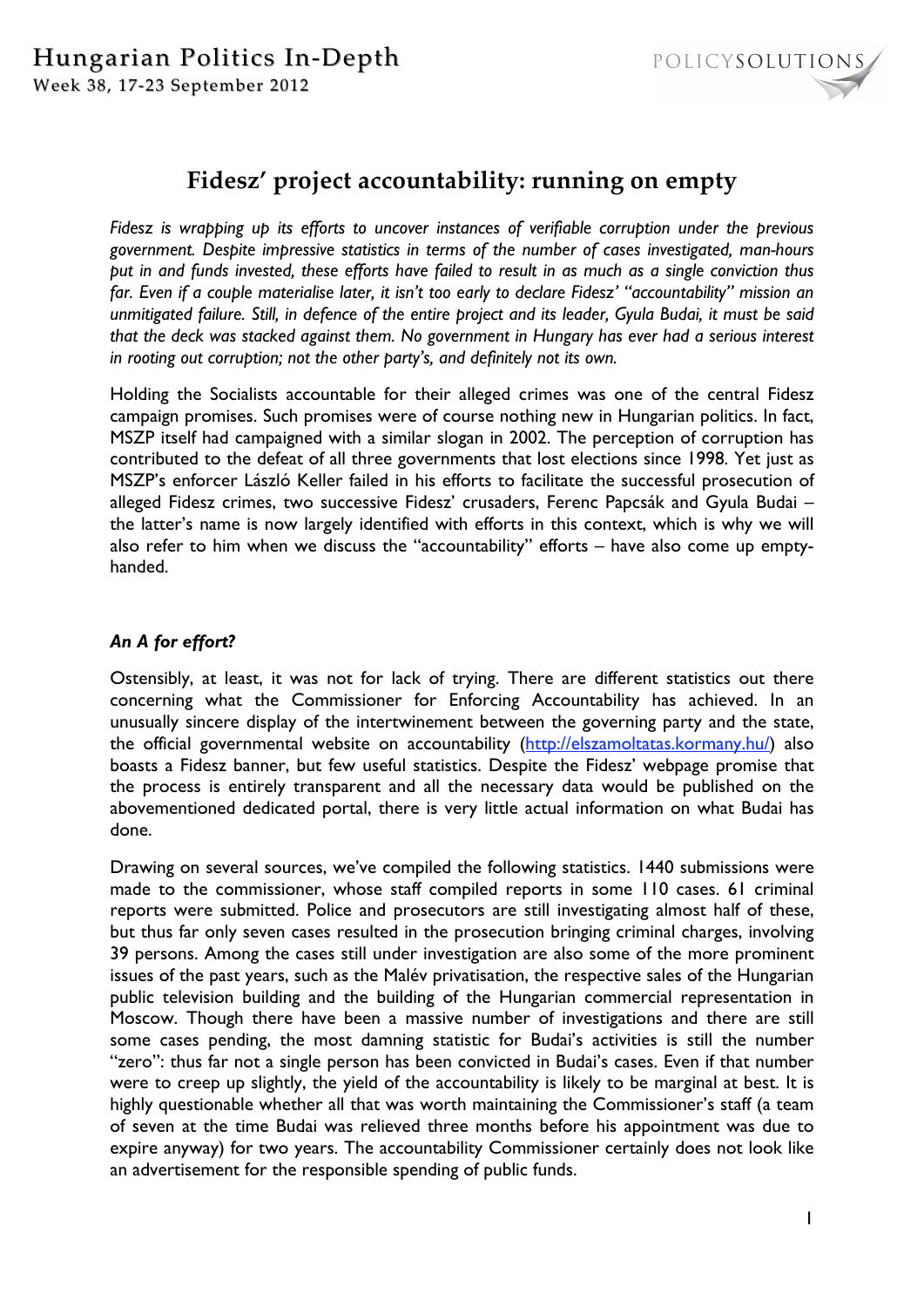

# **Fidesz' project accountability: running on empty**

*Fidesz is wrapping up its efforts to uncover instances of verifiable corruption under the previous government. Despite impressive statistics in terms of the number of cases investigated, man-hours put in and funds invested, these efforts have failed to result in as much as a single conviction thus far. Even if a couple materialise later, it isn't too early to declare Fidesz' "accountability" mission an unmitigated failure. Still, in defence of the entire project and its leader, Gyula Budai, it must be said that the deck was stacked against them. No government in Hungary has ever had a serious interest in rooting out corruption; not the other party's, and definitely not its own.* 

Holding the Socialists accountable for their alleged crimes was one of the central Fidesz campaign promises. Such promises were of course nothing new in Hungarian politics. In fact, MSZP itself had campaigned with a similar slogan in 2002. The perception of corruption has contributed to the defeat of all three governments that lost elections since 1998. Yet just as MSZP's enforcer László Keller failed in his efforts to facilitate the successful prosecution of alleged Fidesz crimes, two successive Fidesz' crusaders, Ferenc Papcsák and Gyula Budai – the latter's name is now largely identified with efforts in this context, which is why we will also refer to him when we discuss the "accountability" efforts – have also come up emptyhanded.

## *An A for effort?*

Ostensibly, at least, it was not for lack of trying. There are different statistics out there concerning what the Commissioner for Enforcing Accountability has achieved. In an unusually sincere display of the intertwinement between the governing party and the state, the official governmental website on accountability (http://elszamoltatas.kormany.hu/) also boasts a Fidesz banner, but few useful statistics. Despite the Fidesz' webpage promise that the process is entirely transparent and all the necessary data would be published on the abovementioned dedicated portal, there is very little actual information on what Budai has done.

Drawing on several sources, we've compiled the following statistics. 1440 submissions were made to the commissioner, whose staff compiled reports in some 110 cases. 61 criminal reports were submitted. Police and prosecutors are still investigating almost half of these, but thus far only seven cases resulted in the prosecution bringing criminal charges, involving 39 persons. Among the cases still under investigation are also some of the more prominent issues of the past years, such as the Malév privatisation, the respective sales of the Hungarian public television building and the building of the Hungarian commercial representation in Moscow. Though there have been a massive number of investigations and there are still some cases pending, the most damning statistic for Budai's activities is still the number "zero": thus far not a single person has been convicted in Budai's cases. Even if that number were to creep up slightly, the yield of the accountability is likely to be marginal at best. It is highly questionable whether all that was worth maintaining the Commissioner's staff (a team of seven at the time Budai was relieved three months before his appointment was due to expire anyway) for two years. The accountability Commissioner certainly does not look like an advertisement for the responsible spending of public funds.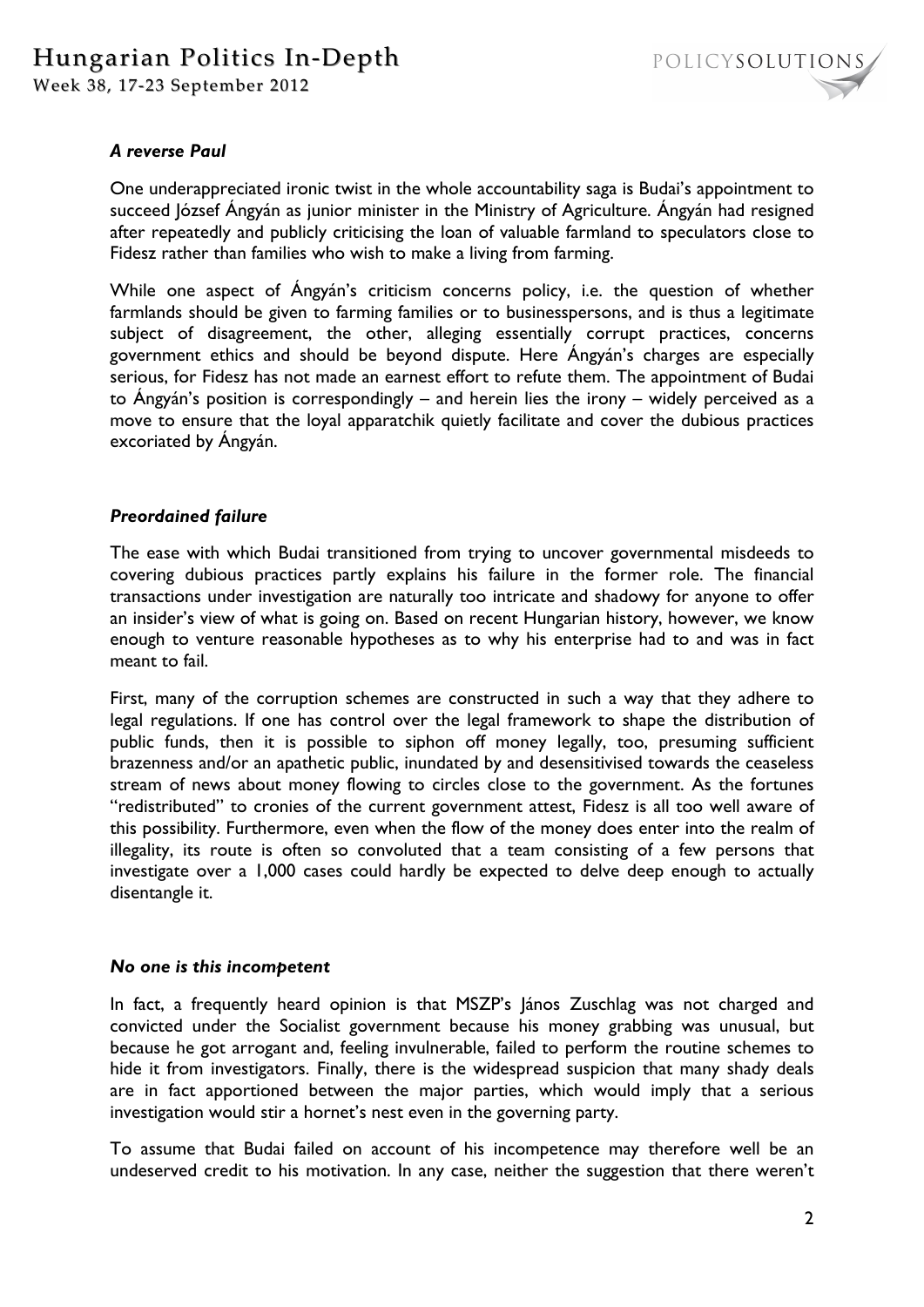

### *A reverse Paul*

One underappreciated ironic twist in the whole accountability saga is Budai's appointment to succeed József Ángyán as junior minister in the Ministry of Agriculture. Ángyán had resigned after repeatedly and publicly criticising the loan of valuable farmland to speculators close to Fidesz rather than families who wish to make a living from farming.

While one aspect of Ángyán's criticism concerns policy, i.e. the question of whether farmlands should be given to farming families or to businesspersons, and is thus a legitimate subject of disagreement, the other, alleging essentially corrupt practices, concerns government ethics and should be beyond dispute. Here Ángyán's charges are especially serious, for Fidesz has not made an earnest effort to refute them. The appointment of Budai to Ángyán's position is correspondingly – and herein lies the irony – widely perceived as a move to ensure that the loyal apparatchik quietly facilitate and cover the dubious practices excoriated by Ángyán.

#### *Preordained failure*

The ease with which Budai transitioned from trying to uncover governmental misdeeds to covering dubious practices partly explains his failure in the former role. The financial transactions under investigation are naturally too intricate and shadowy for anyone to offer an insider's view of what is going on. Based on recent Hungarian history, however, we know enough to venture reasonable hypotheses as to why his enterprise had to and was in fact meant to fail.

First, many of the corruption schemes are constructed in such a way that they adhere to legal regulations. If one has control over the legal framework to shape the distribution of public funds, then it is possible to siphon off money legally, too, presuming sufficient brazenness and/or an apathetic public, inundated by and desensitivised towards the ceaseless stream of news about money flowing to circles close to the government. As the fortunes "redistributed" to cronies of the current government attest, Fidesz is all too well aware of this possibility. Furthermore, even when the flow of the money does enter into the realm of illegality, its route is often so convoluted that a team consisting of a few persons that investigate over a 1,000 cases could hardly be expected to delve deep enough to actually disentangle it.

#### *No one is this incompetent*

In fact, a frequently heard opinion is that MSZP's János Zuschlag was not charged and convicted under the Socialist government because his money grabbing was unusual, but because he got arrogant and, feeling invulnerable, failed to perform the routine schemes to hide it from investigators. Finally, there is the widespread suspicion that many shady deals are in fact apportioned between the major parties, which would imply that a serious investigation would stir a hornet's nest even in the governing party.

To assume that Budai failed on account of his incompetence may therefore well be an undeserved credit to his motivation. In any case, neither the suggestion that there weren't